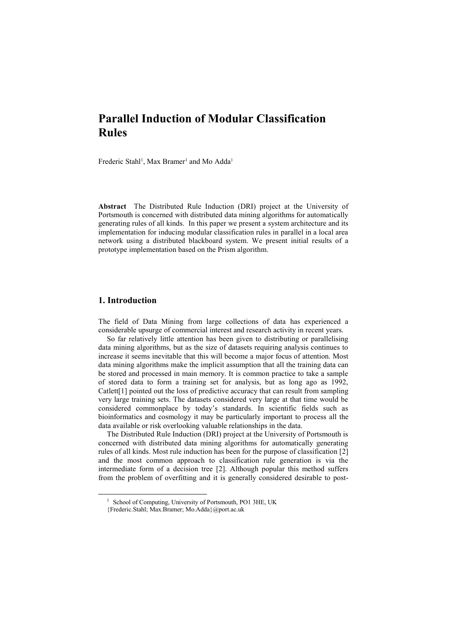# **Parallel Induction of Modular Classification Rules**

Frederic Stahl<sup>1</sup>, Max Bramer<sup>1</sup> and Mo Adda<sup>1</sup>

**Abstract** The Distributed Rule Induction (DRI) project at the University of Portsmouth is concerned with distributed data mining algorithms for automatically generating rules of all kinds. In this paper we present a system architecture and its implementation for inducing modular classification rules in parallel in a local area network using a distributed blackboard system. We present initial results of a prototype implementation based on the Prism algorithm.

#### **1. Introduction**

1

The field of Data Mining from large collections of data has experienced a considerable upsurge of commercial interest and research activity in recent years.

So far relatively little attention has been given to distributing or parallelising data mining algorithms, but as the size of datasets requiring analysis continues to increase it seems inevitable that this will become a major focus of attention. Most data mining algorithms make the implicit assumption that all the training data can be stored and processed in main memory. It is common practice to take a sample of stored data to form a training set for analysis, but as long ago as 1992, Catlett[1] pointed out the loss of predictive accuracy that can result from sampling very large training sets. The datasets considered very large at that time would be considered commonplace by today"s standards. In scientific fields such as bioinformatics and cosmology it may be particularly important to process all the data available or risk overlooking valuable relationships in the data.

The Distributed Rule Induction (DRI) project at the University of Portsmouth is concerned with distributed data mining algorithms for automatically generating rules of all kinds. Most rule induction has been for the purpose of classification [2] and the most common approach to classification rule generation is via the intermediate form of a decision tree [2]. Although popular this method suffers from the problem of overfitting and it is generally considered desirable to post-

<sup>&</sup>lt;sup>1</sup> School of Computing, University of Portsmouth, PO1 3HE, UK

<sup>{</sup>Frederic.Stahl; Max.Bramer; Mo.Adda}@port.ac.uk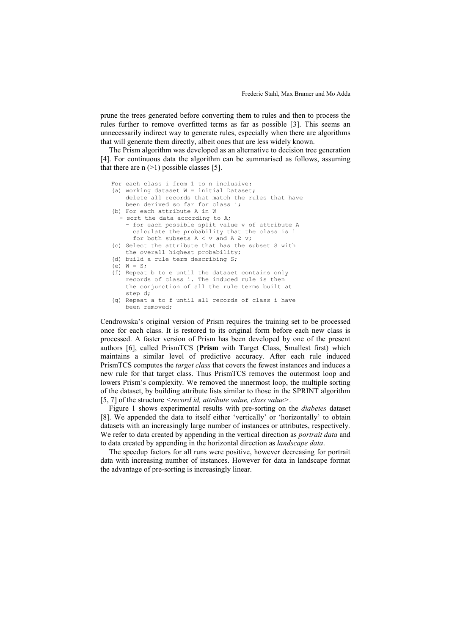prune the trees generated before converting them to rules and then to process the rules further to remove overfitted terms as far as possible [3]. This seems an unnecessarily indirect way to generate rules, especially when there are algorithms that will generate them directly, albeit ones that are less widely known.

The Prism algorithm was developed as an alternative to decision tree generation [4]. For continuous data the algorithm can be summarised as follows, assuming that there are  $n$  (>1) possible classes [5].

```
For each class i from 1 to n inclusive:
(a) working dataset W = initial Dataset;
     delete all records that match the rules that have 
    been derived so far for class i;
(b) For each attribute A in W
   sort the data according to A;
     - for each possible split value v of attribute A
       calculate the probability that the class is i
      for both subsets A \leq v and A \geq v;
(c) Select the attribute that has the subset S with 
    the overall highest probability;
(d) build a rule term describing S;
(e) W = S;(f) Repeat b to e until the dataset contains only 
     records of class i. The induced rule is then 
     the conjunction of all the rule terms built at 
     step d;
(g) Repeat a to f until all records of class i have 
     been removed;
```
Cendrowska"s original version of Prism requires the training set to be processed once for each class. It is restored to its original form before each new class is processed. A faster version of Prism has been developed by one of the present authors [6], called PrismTCS (**Prism** with **T**arget **C**lass, **S**mallest first) which maintains a similar level of predictive accuracy. After each rule induced PrismTCS computes the *target class* that covers the fewest instances and induces a new rule for that target class. Thus PrismTCS removes the outermost loop and lowers Prism"s complexity. We removed the innermost loop, the multiple sorting of the dataset, by building attribute lists similar to those in the SPRINT algorithm [5, 7] of the structure *<record id, attribute value, class value>*.

Figure 1 shows experimental results with pre-sorting on the *diabetes* dataset [8]. We appended the data to itself either 'vertically' or 'horizontally' to obtain datasets with an increasingly large number of instances or attributes, respectively. We refer to data created by appending in the vertical direction as *portrait data* and to data created by appending in the horizontal direction as *landscape data*.

The speedup factors for all runs were positive, however decreasing for portrait data with increasing number of instances. However for data in landscape format the advantage of pre-sorting is increasingly linear.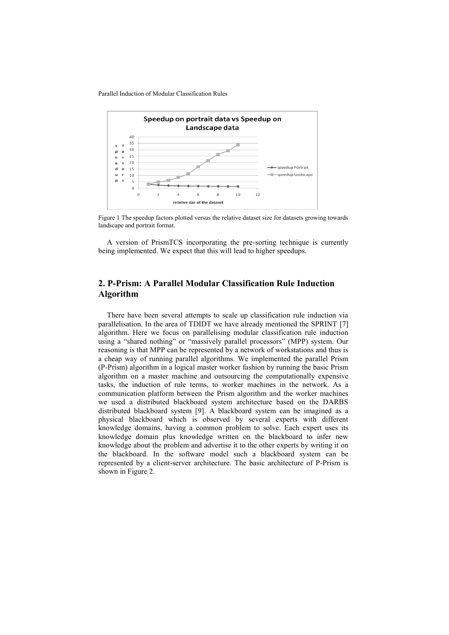Parallel Induction of Modular Classification Rules



Figure 1 The speedup factors plotted versus the relative dataset size for datasets growing towards landscape and portrait format.

A version of PrismTCS incorporating the pre-sorting technique is currently being implemented. We expect that this will lead to higher speedups.

# **2. P-Prism: A Parallel Modular Classification Rule Induction Algorithm**

There have been several attempts to scale up classification rule induction via parallelisation. In the area of TDIDT we have already mentioned the SPRINT [7] algorithm. Here we focus on parallelising modular classification rule induction using a "shared nothing" or "massively parallel processors" (MPP) system. Our reasoning is that MPP can be represented by a network of workstations and thus is a cheap way of running parallel algorithms. We implemented the parallel Prism (P-Prism) algorithm in a logical master worker fashion by running the basic Prism algorithm on a master machine and outsourcing the computationally expensive tasks, the induction of rule terms, to worker machines in the network. As a communication platform between the Prism algorithm and the worker machines we used a distributed blackboard system architecture based on the DARBS distributed blackboard system [9]. A blackboard system can be imagined as a physical blackboard which is observed by several experts with different knowledge domains, having a common problem to solve. Each expert uses its knowledge domain plus knowledge written on the blackboard to infer new knowledge about the problem and advertise it to the other experts by writing it on the blackboard. In the software model such a blackboard system can be represented by a client-server architecture. The basic architecture of P-Prism is shown in Figure 2.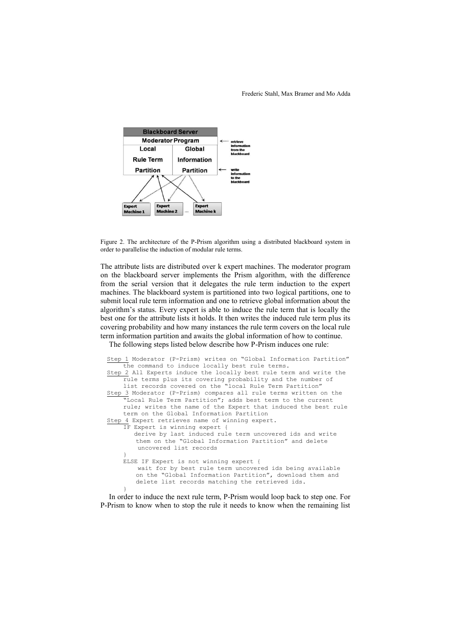

Figure 2. The architecture of the P-Prism algorithm using a distributed blackboard system in order to parallelise the induction of modular rule terms.

The attribute lists are distributed over k expert machines. The moderator program on the blackboard server implements the Prism algorithm, with the difference from the serial version that it delegates the rule term induction to the expert machines. The blackboard system is partitioned into two logical partitions, one to submit local rule term information and one to retrieve global information about the algorithm"s status. Every expert is able to induce the rule term that is locally the best one for the attribute lists it holds. It then writes the induced rule term plus its covering probability and how many instances the rule term covers on the local rule term information partition and awaits the global information of how to continue.

The following steps listed below describe how P-Prism induces one rule:

| Step 1 Moderator (P-Prism) writes on "Global Information Partition" |
|---------------------------------------------------------------------|
| the command to induce locally best rule terms.                      |
| Step 2 All Experts induce the locally best rule term and write the  |
| rule terms plus its covering probability and the number of          |
| list records covered on the "local Rule Term Partition"             |
| Step 3 Moderator (P-Prism) compares all rule terms written on the   |
| "Local Rule Term Partition"; adds best term to the current          |
| rule; writes the name of the Expert that induced the best rule      |
| term on the Global Information Partition                            |
| Step 4 Expert retrieves name of winning expert.                     |
| IF Expert is winning expert {                                       |
| derive by last induced rule term uncovered ids and write            |
| them on the "Global Information Partition" and delete               |
| uncovered list records                                              |
| ł                                                                   |
| ELSE IF Expert is not winning expert {                              |
| wait for by best rule term uncovered ids being available            |
| on the "Global Information Partition", download them and            |
| delete list records matching the retrieved ids.                     |
|                                                                     |
|                                                                     |

In order to induce the next rule term, P-Prism would loop back to step one. For P-Prism to know when to stop the rule it needs to know when the remaining list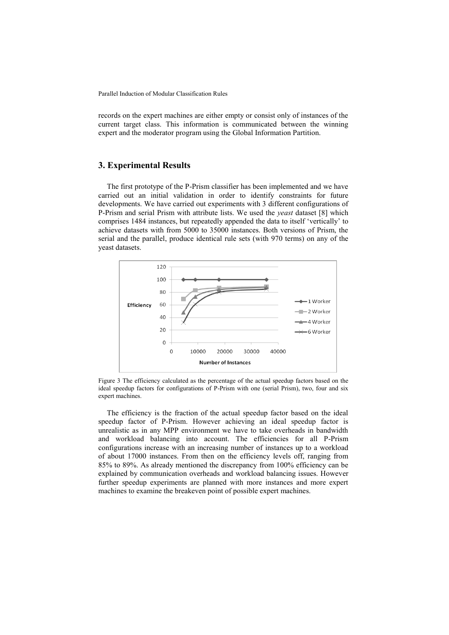Parallel Induction of Modular Classification Rules

records on the expert machines are either empty or consist only of instances of the current target class. This information is communicated between the winning expert and the moderator program using the Global Information Partition.

## **3. Experimental Results**

The first prototype of the P-Prism classifier has been implemented and we have carried out an initial validation in order to identify constraints for future developments. We have carried out experiments with 3 different configurations of P-Prism and serial Prism with attribute lists. We used the *yeast* dataset [8] which comprises 1484 instances, but repeatedly appended the data to itself "vertically" to achieve datasets with from 5000 to 35000 instances. Both versions of Prism, the serial and the parallel, produce identical rule sets (with 970 terms) on any of the yeast datasets.



Figure 3 The efficiency calculated as the percentage of the actual speedup factors based on the ideal speedup factors for configurations of P-Prism with one (serial Prism), two, four and six expert machines.

The efficiency is the fraction of the actual speedup factor based on the ideal speedup factor of P-Prism. However achieving an ideal speedup factor is unrealistic as in any MPP environment we have to take overheads in bandwidth and workload balancing into account. The efficiencies for all P-Prism configurations increase with an increasing number of instances up to a workload of about 17000 instances. From then on the efficiency levels off, ranging from 85% to 89%. As already mentioned the discrepancy from 100% efficiency can be explained by communication overheads and workload balancing issues. However further speedup experiments are planned with more instances and more expert machines to examine the breakeven point of possible expert machines.